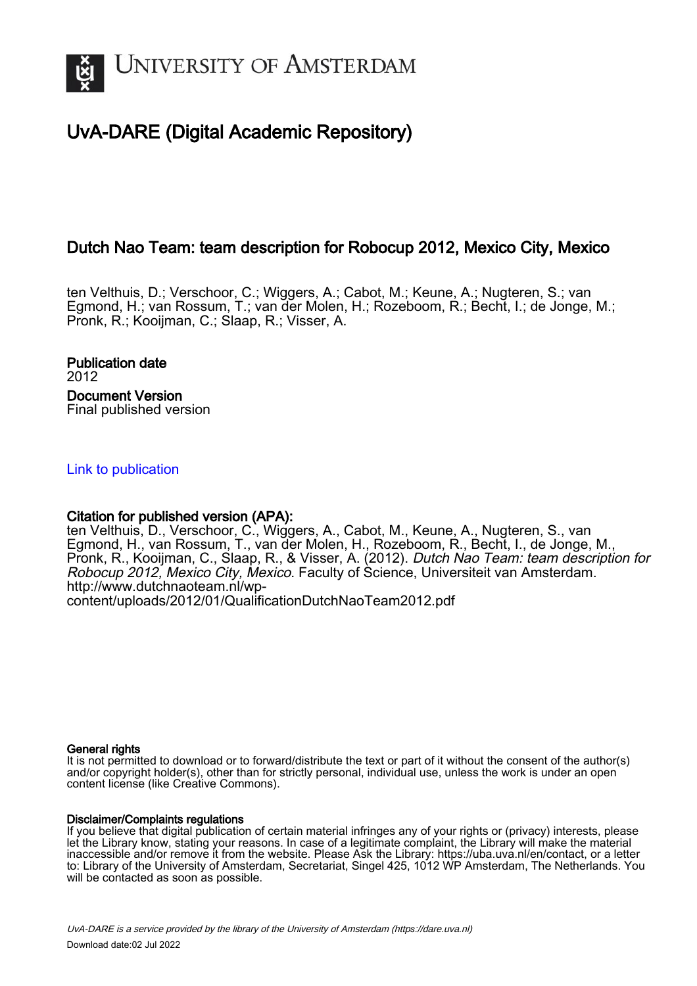

## UvA-DARE (Digital Academic Repository)

## Dutch Nao Team: team description for Robocup 2012, Mexico City, Mexico

ten Velthuis, D.; Verschoor, C.; Wiggers, A.; Cabot, M.; Keune, A.; Nugteren, S.; van Egmond, H.; van Rossum, T.; van der Molen, H.; Rozeboom, R.; Becht, I.; de Jonge, M.; Pronk, R.; Kooijman, C.; Slaap, R.; Visser, A.

Publication date 2012 Document Version Final published version

[Link to publication](https://dare.uva.nl/personal/pure/en/publications/dutch-nao-team-team-description-for-robocup-2012-mexico-city-mexico(e48ab668-edcf-4d15-8505-26023b7089ce).html)

## Citation for published version (APA):

ten Velthuis, D., Verschoor, C., Wiggers, A., Cabot, M., Keune, A., Nugteren, S., van Egmond, H., van Rossum, T., van der Molen, H., Rozeboom, R., Becht, I., de Jonge, M., Pronk, R., Kooijman, C., Slaap, R., & Visser, A. (2012). Dutch Nao Team: team description for Robocup 2012, Mexico City, Mexico. Faculty of Science, Universiteit van Amsterdam. [http://www.dutchnaoteam.nl/wp](http://www.dutchnaoteam.nl/wp-content/uploads/2012/01/QualificationDutchNaoTeam2012.pdf)[content/uploads/2012/01/QualificationDutchNaoTeam2012.pdf](http://www.dutchnaoteam.nl/wp-content/uploads/2012/01/QualificationDutchNaoTeam2012.pdf)

#### General rights

It is not permitted to download or to forward/distribute the text or part of it without the consent of the author(s) and/or copyright holder(s), other than for strictly personal, individual use, unless the work is under an open content license (like Creative Commons).

#### Disclaimer/Complaints regulations

If you believe that digital publication of certain material infringes any of your rights or (privacy) interests, please let the Library know, stating your reasons. In case of a legitimate complaint, the Library will make the material inaccessible and/or remove it from the website. Please Ask the Library: https://uba.uva.nl/en/contact, or a letter to: Library of the University of Amsterdam, Secretariat, Singel 425, 1012 WP Amsterdam, The Netherlands. You will be contacted as soon as possible.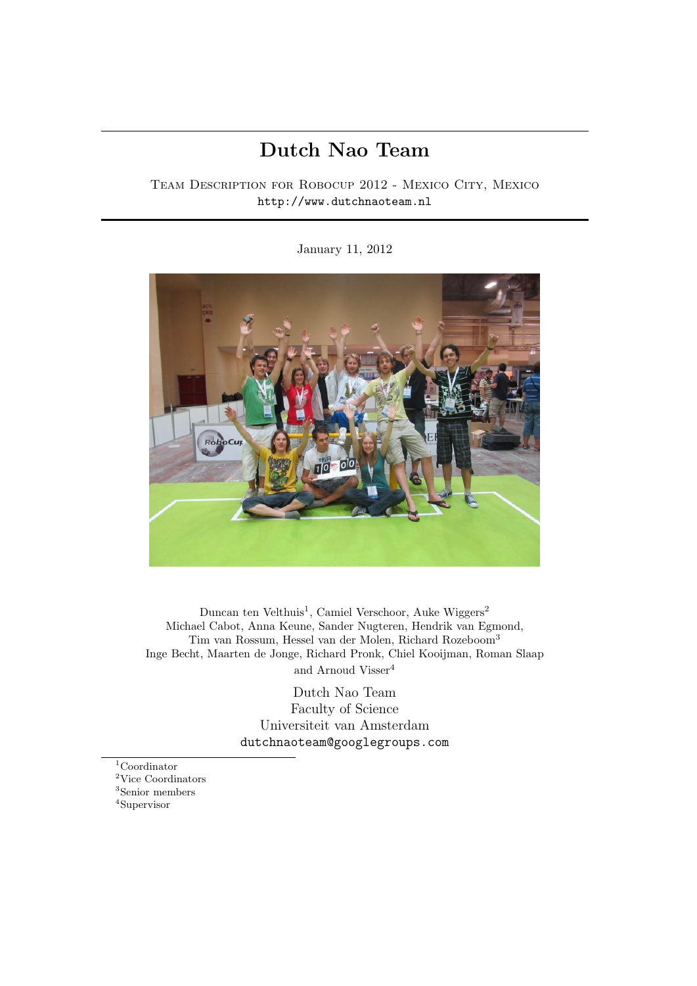# Dutch Nao Team

## Team Description for Robocup 2012 - Mexico City, Mexico http://www.dutchnaoteam.nl

#### January 11, 2012



Duncan ten Velthuis<sup>1</sup>, Camiel Verschoor, Auke Wiggers<sup>2</sup> Michael Cabot, Anna Keune, Sander Nugteren, Hendrik van Egmond, Tim van Rossum, Hessel van der Molen, Richard Rozeboom<sup>3</sup> Inge Becht, Maarten de Jonge, Richard Pronk, Chiel Kooijman, Roman Slaap and Arnoud Visser<sup>4</sup>

> Dutch Nao Team Faculty of Science Universiteit van Amsterdam dutchnaoteam@googlegroups.com

Coordinator Vice Coordinators Senior members <sup>4</sup>Supervisor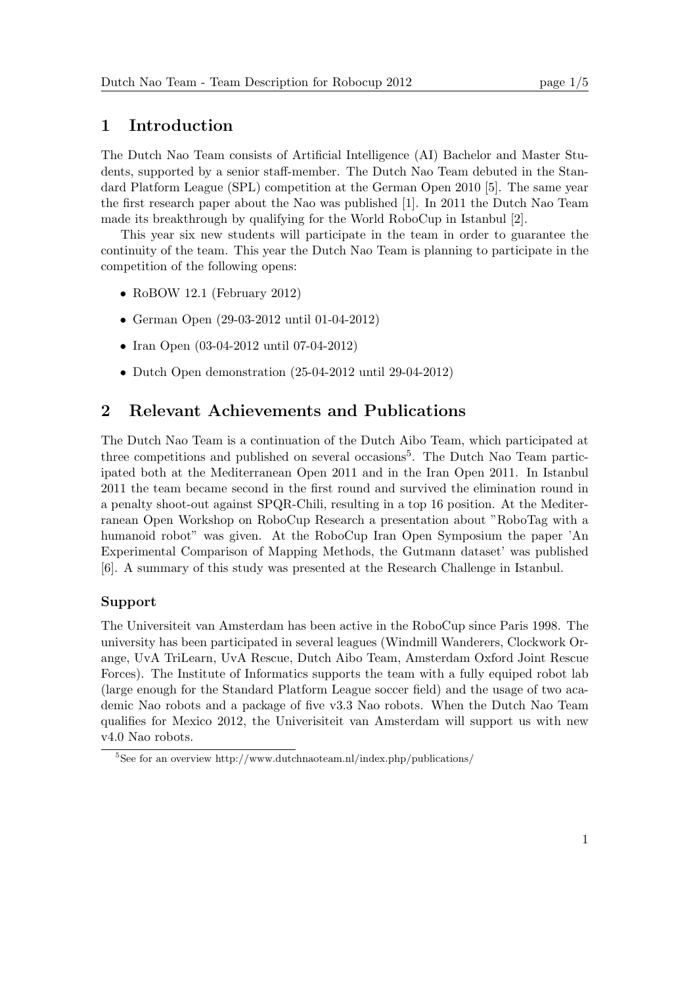## 1 Introduction

The Dutch Nao Team consists of Artificial Intelligence (AI) Bachelor and Master Students, supported by a senior staff-member. The Dutch Nao Team debuted in the Standard Platform League (SPL) competition at the German Open 2010 [5]. The same year the first research paper about the Nao was published [1]. In 2011 the Dutch Nao Team made its breakthrough by qualifying for the World RoboCup in Istanbul [2].

This year six new students will participate in the team in order to guarantee the continuity of the team. This year the Dutch Nao Team is planning to participate in the competition of the following opens:

- RoBOW 12.1 (February 2012)
- German Open (29-03-2012 until 01-04-2012)
- Iran Open (03-04-2012 until 07-04-2012)
- Dutch Open demonstration (25-04-2012 until 29-04-2012)

## 2 Relevant Achievements and Publications

The Dutch Nao Team is a continuation of the Dutch Aibo Team, which participated at three competitions and published on several occasions<sup>5</sup>. The Dutch Nao Team participated both at the Mediterranean Open 2011 and in the Iran Open 2011. In Istanbul 2011 the team became second in the first round and survived the elimination round in a penalty shoot-out against SPQR-Chili, resulting in a top 16 position. At the Mediterranean Open Workshop on RoboCup Research a presentation about "RoboTag with a humanoid robot" was given. At the RoboCup Iran Open Symposium the paper 'An Experimental Comparison of Mapping Methods, the Gutmann dataset' was published [6]. A summary of this study was presented at the Research Challenge in Istanbul.

#### Support

The Universiteit van Amsterdam has been active in the RoboCup since Paris 1998. The university has been participated in several leagues (Windmill Wanderers, Clockwork Orange, UvA TriLearn, UvA Rescue, Dutch Aibo Team, Amsterdam Oxford Joint Rescue Forces). The Institute of Informatics supports the team with a fully equiped robot lab (large enough for the Standard Platform League soccer field) and the usage of two academic Nao robots and a package of five v3.3 Nao robots. When the Dutch Nao Team qualifies for Mexico 2012, the Univerisiteit van Amsterdam will support us with new v4.0 Nao robots.

<sup>&</sup>lt;sup>5</sup>See for an overview http://www.dutchnaoteam.nl/index.php/publications/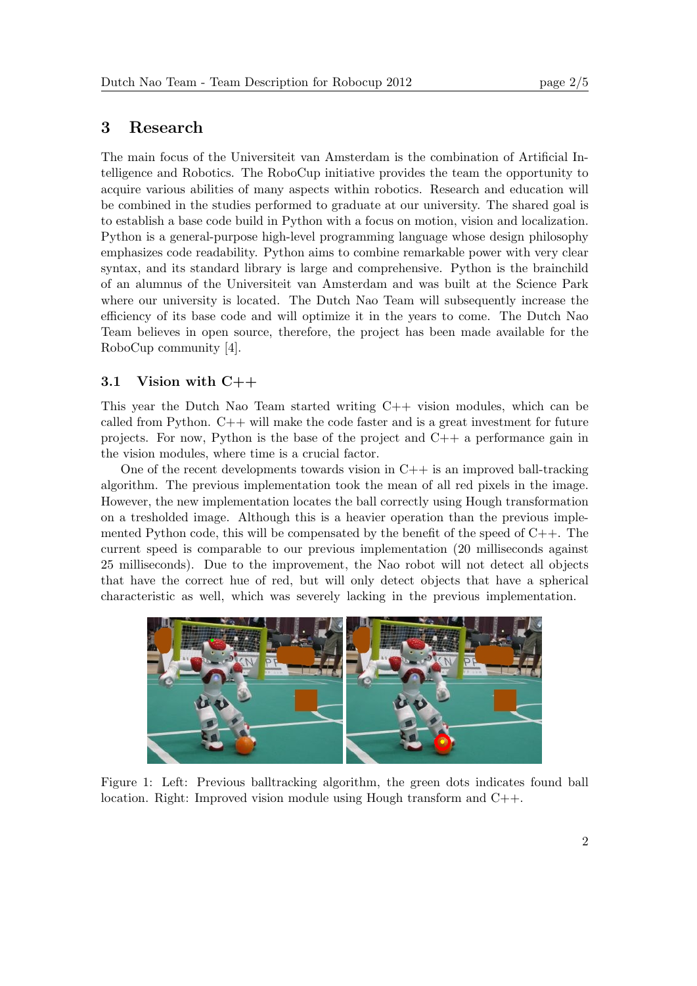## 3 Research

The main focus of the Universiteit van Amsterdam is the combination of Artificial Intelligence and Robotics. The RoboCup initiative provides the team the opportunity to acquire various abilities of many aspects within robotics. Research and education will be combined in the studies performed to graduate at our university. The shared goal is to establish a base code build in Python with a focus on motion, vision and localization. Python is a general-purpose high-level programming language whose design philosophy emphasizes code readability. Python aims to combine remarkable power with very clear syntax, and its standard library is large and comprehensive. Python is the brainchild of an alumnus of the Universiteit van Amsterdam and was built at the Science Park where our university is located. The Dutch Nao Team will subsequently increase the efficiency of its base code and will optimize it in the years to come. The Dutch Nao Team believes in open source, therefore, the project has been made available for the RoboCup community [4].

#### 3.1 Vision with C++

This year the Dutch Nao Team started writing C++ vision modules, which can be called from Python.  $C++$  will make the code faster and is a great investment for future projects. For now, Python is the base of the project and C++ a performance gain in the vision modules, where time is a crucial factor.

One of the recent developments towards vision in  $C++$  is an improved ball-tracking algorithm. The previous implementation took the mean of all red pixels in the image. However, the new implementation locates the ball correctly using Hough transformation on a tresholded image. Although this is a heavier operation than the previous implemented Python code, this will be compensated by the benefit of the speed of  $C_{++}$ . The current speed is comparable to our previous implementation (20 milliseconds against 25 milliseconds). Due to the improvement, the Nao robot will not detect all objects that have the correct hue of red, but will only detect objects that have a spherical characteristic as well, which was severely lacking in the previous implementation.



Figure 1: Left: Previous balltracking algorithm, the green dots indicates found ball location. Right: Improved vision module using Hough transform and C++.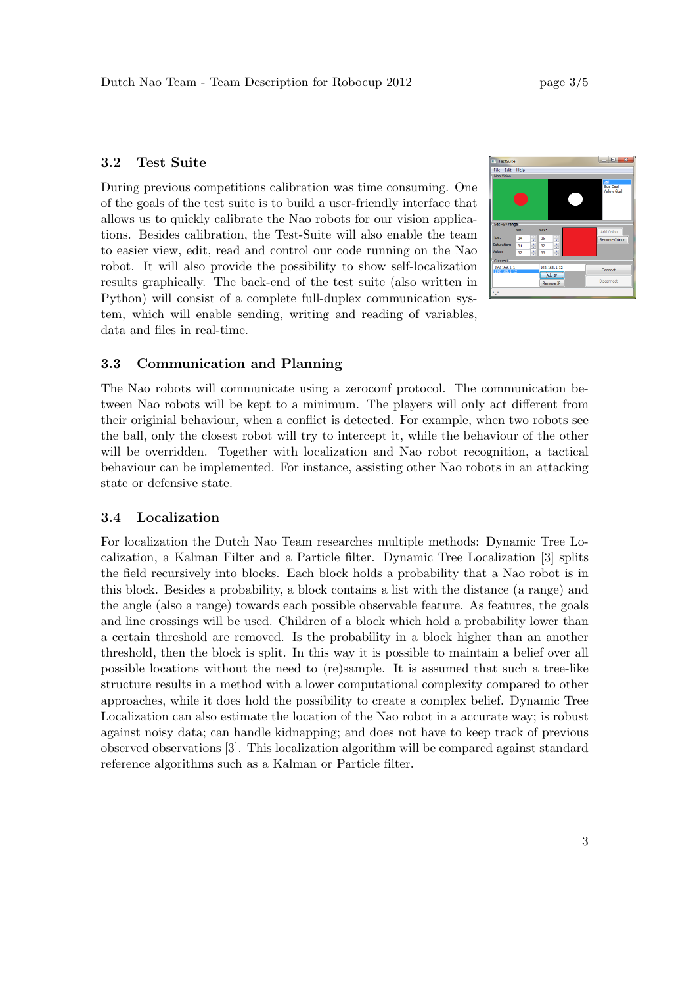## 3.2 Test Suite

During previous competitions calibration was time consuming. One of the goals of the test suite is to build a user-friendly interface that allows us to quickly calibrate the Nao robots for our vision applications. Besides calibration, the Test-Suite will also enable the team to easier view, edit, read and control our code running on the Nao robot. It will also provide the possibility to show self-localization results graphically. The back-end of the test suite (also written in Python) will consist of a complete full-duplex communication system, which will enable sending, writing and reading of variables, data and files in real-time.



## 3.3 Communication and Planning

The Nao robots will communicate using a zeroconf protocol. The communication between Nao robots will be kept to a minimum. The players will only act different from their originial behaviour, when a conflict is detected. For example, when two robots see the ball, only the closest robot will try to intercept it, while the behaviour of the other will be overridden. Together with localization and Nao robot recognition, a tactical behaviour can be implemented. For instance, assisting other Nao robots in an attacking state or defensive state.

#### 3.4 Localization

For localization the Dutch Nao Team researches multiple methods: Dynamic Tree Localization, a Kalman Filter and a Particle filter. Dynamic Tree Localization [3] splits the field recursively into blocks. Each block holds a probability that a Nao robot is in this block. Besides a probability, a block contains a list with the distance (a range) and the angle (also a range) towards each possible observable feature. As features, the goals and line crossings will be used. Children of a block which hold a probability lower than a certain threshold are removed. Is the probability in a block higher than an another threshold, then the block is split. In this way it is possible to maintain a belief over all possible locations without the need to (re)sample. It is assumed that such a tree-like structure results in a method with a lower computational complexity compared to other approaches, while it does hold the possibility to create a complex belief. Dynamic Tree Localization can also estimate the location of the Nao robot in a accurate way; is robust against noisy data; can handle kidnapping; and does not have to keep track of previous observed observations [3]. This localization algorithm will be compared against standard reference algorithms such as a Kalman or Particle filter.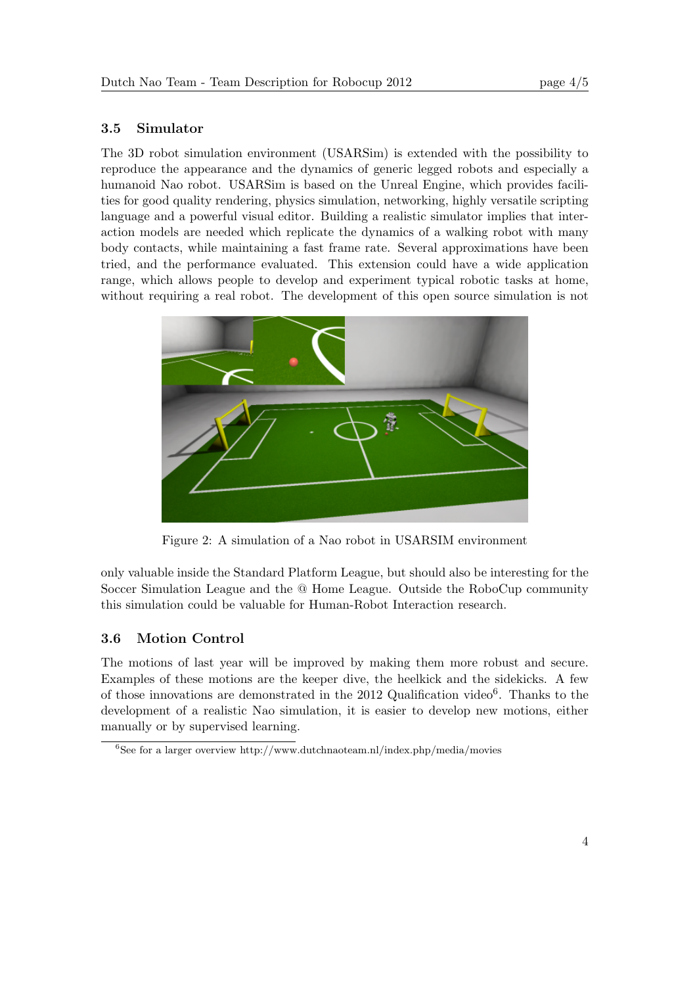## 3.5 Simulator

The 3D robot simulation environment (USARSim) is extended with the possibility to reproduce the appearance and the dynamics of generic legged robots and especially a humanoid Nao robot. USARSim is based on the Unreal Engine, which provides facilities for good quality rendering, physics simulation, networking, highly versatile scripting language and a powerful visual editor. Building a realistic simulator implies that interaction models are needed which replicate the dynamics of a walking robot with many body contacts, while maintaining a fast frame rate. Several approximations have been tried, and the performance evaluated. This extension could have a wide application range, which allows people to develop and experiment typical robotic tasks at home, without requiring a real robot. The development of this open source simulation is not



Figure 2: A simulation of a Nao robot in USARSIM environment

only valuable inside the Standard Platform League, but should also be interesting for the Soccer Simulation League and the @ Home League. Outside the RoboCup community this simulation could be valuable for Human-Robot Interaction research.

## 3.6 Motion Control

The motions of last year will be improved by making them more robust and secure. Examples of these motions are the keeper dive, the heelkick and the sidekicks. A few of those innovations are demonstrated in the 2012 Qualification video<sup>6</sup>. Thanks to the development of a realistic Nao simulation, it is easier to develop new motions, either manually or by supervised learning.

 ${}^{6}$ See for a larger overview http://www.dutchnaoteam.nl/index.php/media/movies